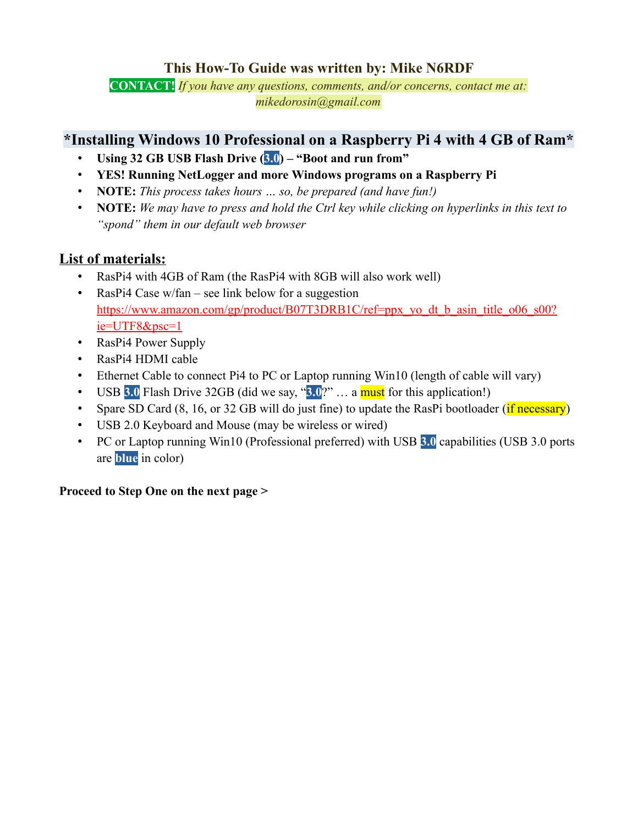## **This How-To Guide was written by: Mike N6RDF**

**CONTACT!** *If you have any questions, comments, and/or concerns, contact me at: mikedorosin@gmail.com*

### **\*Installing Windows 10 Professional on a Raspberry Pi 4 with 4 GB of Ram\***

- **Using 32 GB USB Flash Drive (3.0) "Boot and run from"**
- **YES! Running NetLogger and more Windows programs on a Raspberry Pi**
- **NOTE:** *This process takes hours … so, be prepared (and have fun!)*
- **NOTE:** *We may have to press and hold the Ctrl key while clicking on hyperlinks in this text to "spond" them in our default web browser*

### **List of materials:**

- RasPi4 with 4GB of Ram (the RasPi4 with 8GB will also work well)
- RasPi4 Case w/fan see link below for a suggestion [https://www.amazon.com/gp/product/B07T3DRB1C/ref=ppx\\_yo\\_dt\\_b\\_asin\\_title\\_o06\\_s00?](https://www.amazon.com/gp/product/B07T3DRB1C/ref=ppx_yo_dt_b_asin_title_o06_s00?ie=UTF8&psc=1) [ie=UTF8&psc=1](https://www.amazon.com/gp/product/B07T3DRB1C/ref=ppx_yo_dt_b_asin_title_o06_s00?ie=UTF8&psc=1)
- RasPi4 Power Supply
- RasPi4 HDMI cable
- Ethernet Cable to connect Pi4 to PC or Laptop running Win10 (length of cable will vary)
- USB **3.0** Flash Drive 32GB (did we say, "**3.0**?" … a must for this application!)
- Spare SD Card  $(8, 16, or 32 GB will do just fine) to update the RasPi bootloader (*if necessary*)$
- USB 2.0 Keyboard and Mouse (may be wireless or wired)
- PC or Laptop running Win10 (Professional preferred) with USB **3.0** capabilities (USB 3.0 ports are **blue** in color)

### **Proceed to Step One on the next page >**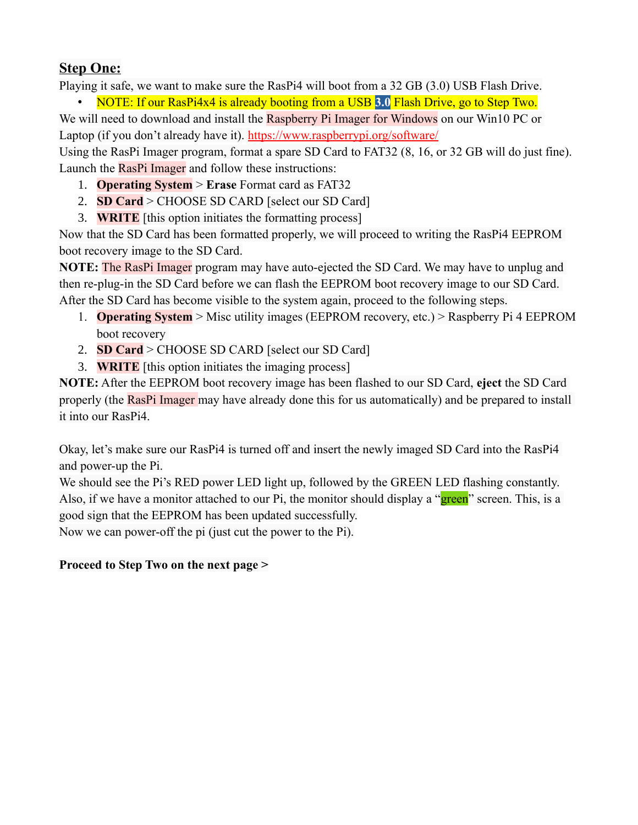# **Step One:**

Playing it safe, we want to make sure the RasPi4 will boot from a 32 GB (3.0) USB Flash Drive.

• NOTE: If our RasPi4x4 is already booting from a USB **3.0** Flash Drive, go to Step Two. We will need to download and install the Raspberry Pi Imager for Windows on our Win10 PC or Laptop (if you don't already have it). <https://www.raspberrypi.org/software/>

Using the RasPi Imager program, format a spare SD Card to FAT32 (8, 16, or 32 GB will do just fine). Launch the RasPi Imager and follow these instructions:

- 1. **Operating System** > **Erase** Format card as FAT32
- 2. **SD Card** > CHOOSE SD CARD [select our SD Card]
- 3. **WRITE** [this option initiates the formatting process]

Now that the SD Card has been formatted properly, we will proceed to writing the RasPi4 EEPROM boot recovery image to the SD Card.

**NOTE:** The RasPi Imager program may have auto-ejected the SD Card. We may have to unplug and then re-plug-in the SD Card before we can flash the EEPROM boot recovery image to our SD Card. After the SD Card has become visible to the system again, proceed to the following steps.

- 1. **Operating System** > Misc utility images (EEPROM recovery, etc.) > Raspberry Pi 4 EEPROM boot recovery
- 2. **SD Card** > CHOOSE SD CARD [select our SD Card]
- 3. **WRITE** [this option initiates the imaging process]

**NOTE:** After the EEPROM boot recovery image has been flashed to our SD Card, **eject** the SD Card properly (the RasPi Imager may have already done this for us automatically) and be prepared to install it into our RasPi4.

Okay, let's make sure our RasPi4 is turned off and insert the newly imaged SD Card into the RasPi4 and power-up the Pi.

We should see the Pi's RED power LED light up, followed by the GREEN LED flashing constantly. Also, if we have a monitor attached to our Pi, the monitor should display a "green" screen. This, is a good sign that the EEPROM has been updated successfully.

Now we can power-off the pi (just cut the power to the Pi).

### **Proceed to Step Two on the next page >**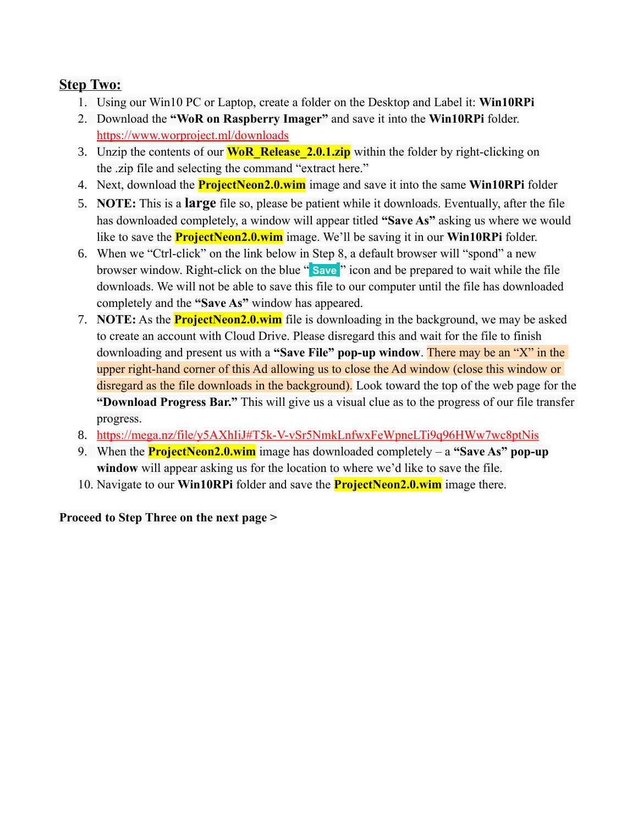### **Step Two:**

- 1. Using our Win10 PC or Laptop, create a folder on the Desktop and Label it: **Win10RPi**
- 2. Download the **"WoR on Raspberry Imager"** and save it into the **Win10RPi** folder. <https://www.worproject.ml/downloads>
- 3. Unzip the contents of our **WoR\_Release\_2.0.1.zip** within the folder by right-clicking on the .zip file and selecting the command "extract here."
- 4. Next, download the **ProjectNeon2.0.wim** image and save it into the same **Win10RPi** folder
- 5. **NOTE:** This is a **large** file so, please be patient while it downloads. Eventually, after the file has downloaded completely, a window will appear titled **"Save As"** asking us where we would like to save the **ProjectNeon2.0.wim** image. We'll be saving it in our **Win10RPi** folder.
- 6. When we "Ctrl-click" on the link below in Step 8, a default browser will "spond" a new browser window. Right-click on the blue " **Save** " icon and be prepared to wait while the file downloads. We will not be able to save this file to our computer until the file has downloaded completely and the **"Save As"** window has appeared.
- 7. **NOTE:** As the **ProjectNeon2.0.wim** file is downloading in the background, we may be asked to create an account with Cloud Drive. Please disregard this and wait for the file to finish downloading and present us with a **"Save File" pop-up window**. There may be an "X" in the upper right-hand corner of this Ad allowing us to close the Ad window (close this window or disregard as the file downloads in the background). Look toward the top of the web page for the **"Download Progress Bar."** This will give us a visual clue as to the progress of our file transfer progress.
- 8.<https://mega.nz/file/y5AXhIiJ#T5k-V-vSr5NmkLnfwxFeWpneLTi9q96HWw7wc8ptNis>
- 9. When the **ProjectNeon2.0.wim** image has downloaded completely a **"Save As" pop-up window** will appear asking us for the location to where we'd like to save the file.
- 10. Navigate to our **Win10RPi** folder and save the **ProjectNeon2.0.wim** image there.

#### **Proceed to Step Three on the next page >**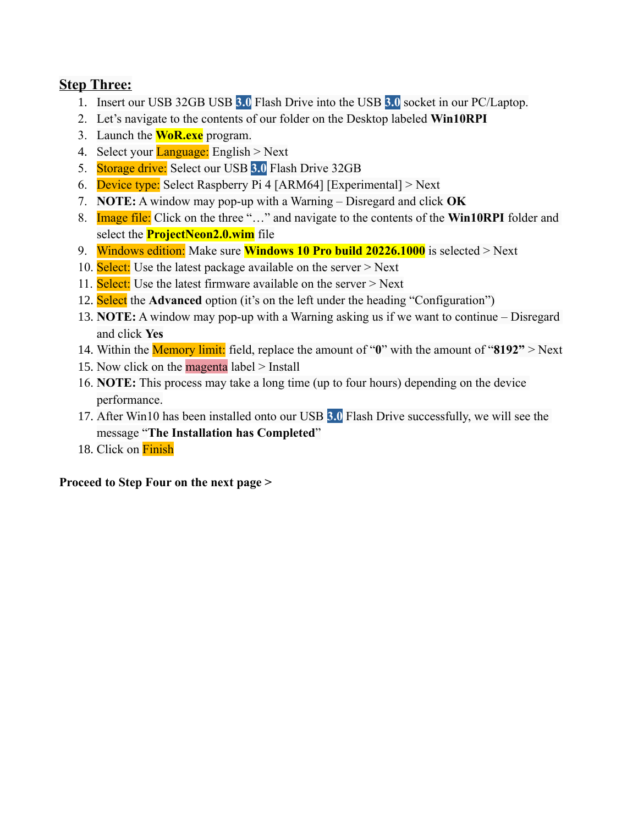### **Step Three:**

- 1. Insert our USB 32GB USB **3.0** Flash Drive into the USB **3.0** socket in our PC/Laptop.
- 2. Let's navigate to the contents of our folder on the Desktop labeled **Win10RPI**
- 3. Launch the **WoR.exe** program.
- 4. Select your **Language:** English  $>$  Next
- 5. Storage drive: Select our USB **3.0** Flash Drive 32GB
- 6. Device type: Select Raspberry Pi 4 [ARM64] [Experimental]  $>$  Next
- 7. **NOTE:** A window may pop-up with a Warning Disregard and click **OK**
- 8. Image file: Click on the three "…" and navigate to the contents of the **Win10RPI** folder and select the **ProjectNeon2.0.wim** file
- 9. Windows edition: Make sure **Windows 10 Pro build 20226.1000** is selected > Next
- 10. Select: Use the latest package available on the server > Next
- 11. Select: Use the latest firmware available on the server > Next
- 12. Select the **Advanced** option (it's on the left under the heading "Configuration")
- 13. **NOTE:** A window may pop-up with a Warning asking us if we want to continue Disregard and click **Yes**
- 14. Within the Memory limit: field, replace the amount of "**0**" with the amount of "**8192"** > Next
- 15. Now click on the **magenta** label > Install
- 16. **NOTE:** This process may take a long time (up to four hours) depending on the device performance.
- 17. After Win10 has been installed onto our USB **3.0** Flash Drive successfully, we will see the message "**The Installation has Completed**"
- 18. Click on Finish

#### **Proceed to Step Four on the next page >**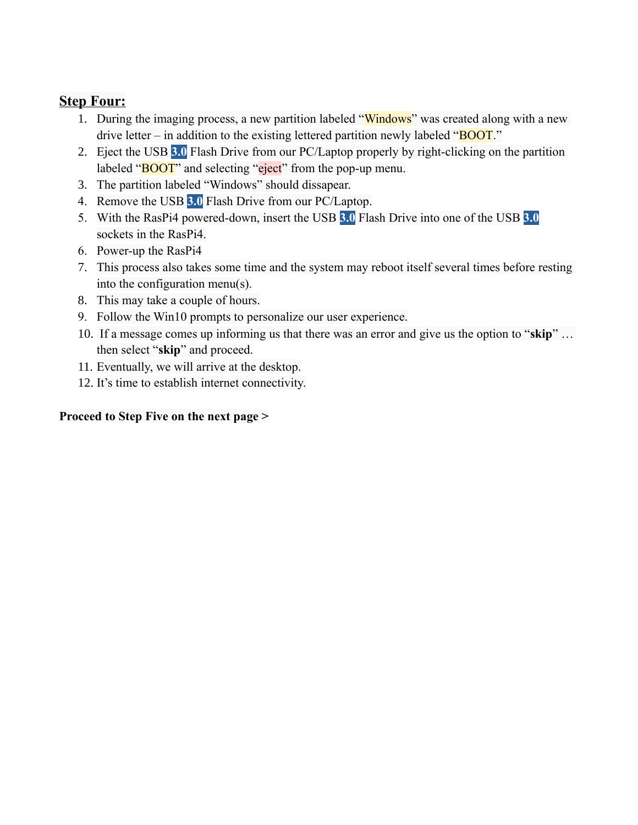### **Step Four:**

- 1. During the imaging process, a new partition labeled "Windows" was created along with a new drive letter – in addition to the existing lettered partition newly labeled " $\overline{BOOT}$ ."
- 2. Eject the USB **3.0** Flash Drive from our PC/Laptop properly by right-clicking on the partition labeled "**BOOT**" and selecting "eject" from the pop-up menu.
- 3. The partition labeled "Windows" should dissapear.
- 4. Remove the USB **3.0** Flash Drive from our PC/Laptop.
- 5. With the RasPi4 powered-down, insert the USB **3.0** Flash Drive into one of the USB **3.0** sockets in the RasPi4.
- 6. Power-up the RasPi4
- 7. This process also takes some time and the system may reboot itself several times before resting into the configuration menu(s).
- 8. This may take a couple of hours.
- 9. Follow the Win10 prompts to personalize our user experience.
- 10. If a message comes up informing us that there was an error and give us the option to "**skip**" … then select "**skip**" and proceed.
- 11. Eventually, we will arrive at the desktop.
- 12. It's time to establish internet connectivity.

#### **Proceed to Step Five on the next page >**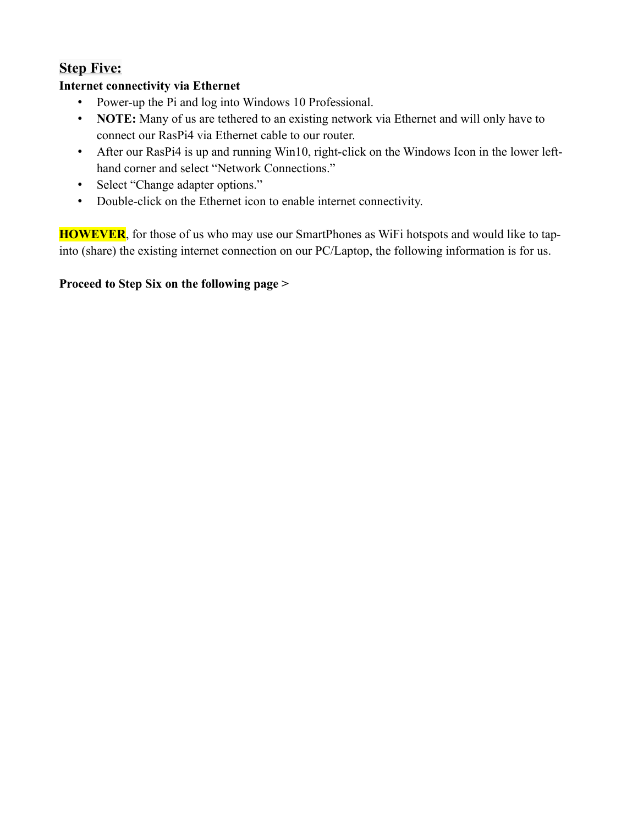# **Step Five:**

## **Internet connectivity via Ethernet**

- Power-up the Pi and log into Windows 10 Professional.
- **NOTE:** Many of us are tethered to an existing network via Ethernet and will only have to connect our RasPi4 via Ethernet cable to our router.
- After our RasPi4 is up and running Win10, right-click on the Windows Icon in the lower lefthand corner and select "Network Connections."
- Select "Change adapter options."
- Double-click on the Ethernet icon to enable internet connectivity.

**HOWEVER**, for those of us who may use our SmartPhones as WiFi hotspots and would like to tapinto (share) the existing internet connection on our PC/Laptop, the following information is for us.

## **Proceed to Step Six on the following page >**